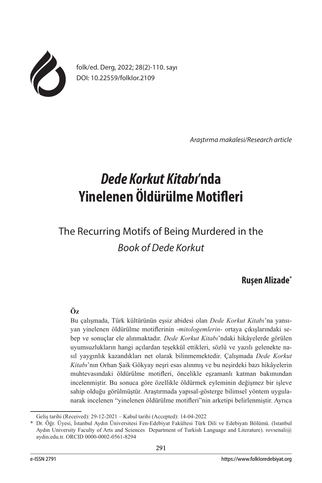

folk/ed. Derg, 2022; 28(2)-110. sayı DOI: 10.22559/folklor.2109

*Araştırma makalesi/Research article*

# *Dede Korkut Kitabı***'nda Yinelenen Öldürülme Motifleri**

# The Recurring Motifs of Being Murdered in the *Book of Dede Korkut*

# **Ruşen Alizade\***

# **Öz**

Bu çalışmada, Türk kültürünün eşsiz abidesi olan *Dede Korkut Kitabı*'na yansıyan yinelenen öldürülme motiflerinin -*mitologemlerin*- ortaya çıkışlarındaki sebep ve sonuçlar ele alınmaktadır. *Dede Korkut Kitabı*'ndaki hikâyelerde görülen uyumsuzlukların hangi açılardan teşekkül ettikleri, sözlü ve yazılı gelenekte nasıl yaygınlık kazandıkları net olarak bilinmemektedir. Çalışmada *Dede Korkut Kitabı*'nın Orhan Şaik Gökyay neşri esas alınmış ve bu neşirdeki bazı hikâyelerin muhtevasındaki öldürülme motifleri, öncelikle eşzamanlı katman bakımından incelenmiştir. Bu sonuca göre özellikle öldürmek eyleminin değişmez bir işleve sahip olduğu görülmüştür. Araştırmada yapısal-gösterge bilimsel yöntem uygulanarak incelenen "yinelenen öldürülme motifleri"nin arketipi belirlenmiştir. Ayrıca

Geliş tarihi (Received): 29-12-2021 – Kabul tarihi (Accepted): 14-04-2022

<sup>\*</sup> Dr. Öğr. Üyesi, İstanbul Aydın Üniversitesi Fen-Edebiyat Fakültesi Türk Dili ve Edebiyatı Bölümü. (Istanbul Aydın University Faculty of Arts and Sciences Department of Turkish Language and Literature). rovsenali@ aydin.edu.tr. ORCID 0000-0002-0561-8294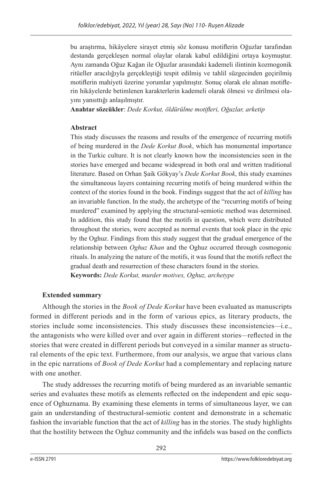bu araştırma, hikâyelere sirayet etmiş söz konusu motiflerin Oğuzlar tarafından destanda gerçekleşen normal olaylar olarak kabul edildiğini ortaya koymuştur. Aynı zamanda Oğuz Kağan ile Oğuzlar arasındaki kademeli ilintinin kozmogonik ritüeller aracılığıyla gerçekleştiği tespit edilmiş ve tahlil süzgecinden geçirilmiş motiflerin mahiyeti üzerine yorumlar yapılmıştır. Sonuç olarak ele alınan motiflerin hikâyelerde betimlenen karakterlerin kademeli olarak ölmesi ve dirilmesi olayını yansıttığı anlaşılmıştır.

**Anahtar sözcükler**: *Dede Korkut, öldürülme motifleri, Oğuzlar, arketip*

### **Abstract**

This stady discusses the reasons and results of the emergence of recurring motifs of being murdered in the *Dede Korkut Book*, which has monumental importance in the Turkic culture. It is not clearly known how the inconsistencies seen in the stories have emerged and became widespread in both oral and written traditional literature. Based on Orhan Şaik Gökyay's *Dede Korkut Book*, this study examines the simultaneous layers containing recurring motifs of being murdered within the context of the stories found in the book. Findings suggest that the act of *killing* has an invariable function. In the study, the archetype of the "recurring motifs of being murdered" examined by applying the structural-semiotic method was determined. In addition, this study found that the motifs in question, which were distributed throughout the stories, were accepted as normal events that took place in the epic by the Oghuz. Findings from this study suggest that the gradual emergence of the relationship between *Oghuz Khan* and the Oghuz occurred through cosmogonic rituals. In analyzing the nature of the motifs, it was found that the motifs reflect the gradual death and resurrection of these characters found in the stories. **Keywords:** *Dede Korkut, murder motives, Oghuz, archetype*

# **Extended summary**

Although the stories in the *Book of Dede Korkut* have been evaluated as manuscripts formed in different periods and in the form of various epics, as literary products, the stories include some inconsistencies. This study discusses these inconsistencies*—*i.e., the antagonists who were killed over and over again in different stories*—*reflected in the stories that were created in different periods but conveyed in a similar manner as structural elements of the epic text. Furthermore, from our analysis, we argue that various clans in the epic narrations of *Book of Dede Korkut* had a complementary and replacing nature with one another.

The study addresses the recurring motifs of being murdered as an invariable semantic series and evaluates these motifs as elements reflected on the independent and epic sequence of Oghuznama. By examining these elements in terms of simultaneous layer, we can gain an understanding of thestructural-semiotic content and demonstrate in a schematic fashion the invariable function that the act of *killing* has in the stories. The study highlights that the hostility between the Oghuz community and the infidels was based on the conflicts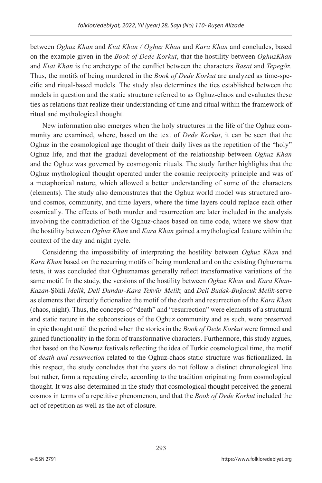between *Oghuz Khan* and *Kıat Khan / Oghuz Khan* and *Kara Khan* and concludes, based on the example given in the *Book of Dede Korkut*, that the hostility between *OghuzKhan* and *Kıat Khan* is the archetype of the conflict between the characters *Basat* and *Tepegöz*. Thus, the motifs of being murdered in the *Book of Dede Korkut* are analyzed as time-specific and ritual-based models. The study also determines the ties established between the models in question and the static structure referred to as Oghuz-chaos and evaluates these ties as relations that realize their understanding of time and ritual within the framework of ritual and mythological thought.

New information also emerges when the holy structures in the life of the Oghuz community are examined, where, based on the text of *Dede Korkut*, it can be seen that the Oghuz in the cosmological age thought of their daily lives as the repetition of the "holy" Oghuz life, and that the gradual development of the relationship between *Oghuz Khan* and the Oghuz was governed by cosmogonic rituals. The study further highlights that the Oghuz mythological thought operated under the cosmic reciprocity principle and was of a metaphorical nature, which allowed a better understanding of some of the characters (elements). The study also demonstrates that the Oghuz world model was structured around cosmos, community, and time layers, where the time layers could replace each other cosmically. The effects of both murder and resurrection are later included in the analysis involving the contradiction of the Oghuz-chaos based on time code, where we show that the hostility between *Oghuz Khan* and *Kara Khan* gained a mythological feature within the context of the day and night cycle.

Considering the impossibility of interpreting the hostility between *Oghuz Khan* and *Kara Khan* based on the recurring motifs of being murdered and on the existing Oghuznama texts, it was concluded that Oghuznamas generally reflect transformative variations of the same motif. In the study, the versions of the hostility between *Oghuz Khan* and *Kara Khan*-*Kazan-*Şökli *Melik*, *Deli Dundar-Kara Tekvür Melik,* and *Deli Budak-Buğacuk Melik*-serve as elements that directly fictionalize the motif of the death and resurrection of the *Kara Khan* (chaos, night). Thus, the concepts of "death" and "resurrection" were elements of a structural and static nature in the subconscious of the Oghuz community and as such, were preserved in epic thought until the period when the stories in the *Book of Dede Korkut* were formed and gained functionality in the form of transformative characters. Furthermore, this study argues, that based on the Nowruz festivals reflecting the idea of Turkic cosmological time, the motif of *death and resurrection* related to the Oghuz-chaos static structure was fictionalized. In this respect, the study concludes that the years do not follow a distinct chronological line but rather, form a repeating circle, according to the tradition originating from cosmological thought. It was also determined in the study that cosmological thought perceived the general cosmos in terms of a repetitive phenomenon, and that the *Book of Dede Korkut* included the act of repetition as well as the act of closure.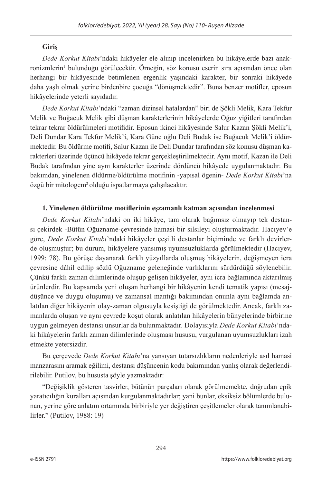## **Giriş**

*Dede Korkut Kitabı*'ndaki hikâyeler ele alınıp incelenirken bu hikâyelerde bazı anakronizmlerin<sup>ı</sup> bulunduğu görülecektir. Örneğin, söz konusu eserin sıra açısından önce olan herhangi bir hikâyesinde betimlenen ergenlik yaşındaki karakter, bir sonraki hikâyede daha yaşlı olmak yerine birdenbire çocuğa "dönüşmektedir". Buna benzer motifler, eposun hikâyelerinde yeterli sayıdadır.

*Dede Korkut Kitabı*'ndaki "zaman dizinsel hatalardan" biri de Şökli Melik, Kara Tekfur Melik ve Buğacuk Melik gibi düşman karakterlerinin hikâyelerde Oğuz yiğitleri tarafından tekrar tekrar öldürülmeleri motifidir. Eposun ikinci hikâyesinde Salur Kazan Şökli Melik'i, Deli Dundar Kara Tekfur Melik'i, Kara Güne oğlu Deli Budak ise Buğacuk Melik'i öldürmektedir. Bu öldürme motifi, Salur Kazan ile Deli Dundar tarafından söz konusu düşman karakterleri üzerinde üçüncü hikâyede tekrar gerçekleştirilmektedir. Aynı motif, Kazan ile Deli Budak tarafından yine aynı karakterler üzerinde dördüncü hikâyede uygulanmaktadır. Bu bakımdan, yinelenen öldürme/öldürülme motifinin -yapısal ögenin- *Dede Korkut Kitabı*'na özgü bir mitologem2 olduğu ispatlanmaya çalışılacaktır.

## **1. Yinelenen öldürülme motiflerinin eşzamanlı katman açısından incelenmesi**

*Dede Korkut Kitabı*'ndaki on iki hikâye, tam olarak bağımsız olmayıp tek destansı çekirdek -Bütün Oğuzname-çevresinde hamasi bir silsileyi oluşturmaktadır. Hacıyev'e göre, *Dede Korkut Kitabı*'ndaki hikâyeler çeşitli destanlar biçiminde ve farklı devirlerde oluşmuştur; bu durum, hikâyelere yansımış uyumsuzluklarda görülmektedir (Hacıyev, 1999: 78). Bu görüşe dayanarak farklı yüzyıllarda oluşmuş hikâyelerin, değişmeyen icra çevresine dâhil edilip sözlü Oğuzname geleneğinde varlıklarını sürdürdüğü söylenebilir. Çünkü farklı zaman dilimlerinde oluşup gelişen hikâyeler, aynı icra bağlamında aktarılmış ürünlerdir. Bu kapsamda yeni oluşan herhangi bir hikâyenin kendi tematik yapısı (mesajdüşünce ve duygu oluşumu) ve zamansal mantığı bakımından onunla aynı bağlamda anlatılan diğer hikâyenin olay-zaman olgusuyla kesiştiği de görülmektedir. Ancak, farklı zamanlarda oluşan ve aynı çevrede koşut olarak anlatılan hikâyelerin bünyelerinde birbirine uygun gelmeyen destansı unsurlar da bulunmaktadır. Dolayısıyla *Dede Korkut Kitabı*'ndaki hikâyelerin farklı zaman dilimlerinde oluşması hususu, vurgulanan uyumsuzlukları izah etmekte yetersizdir.

Bu çerçevede *Dede Korkut Kitabı*'na yansıyan tutarsızlıkların nedenleriyle asıl hamasi manzarasını aramak eğilimi, destansı düşüncenin kodu bakımından yanlış olarak değerlendirilebilir. Putilov, bu hususta şöyle yazmaktadır:

"Değişiklik gösteren tasvirler, bütünün parçaları olarak görülmemekte, doğrudan epik yaratıcılığın kuralları açısından kurgulanmaktadırlar; yani bunlar, eksiksiz bölümlerde bulunan, yerine göre anlatım ortamında birbiriyle yer değiştiren çeşitlemeler olarak tanımlanabilirler." (Putilov, 1988: 19)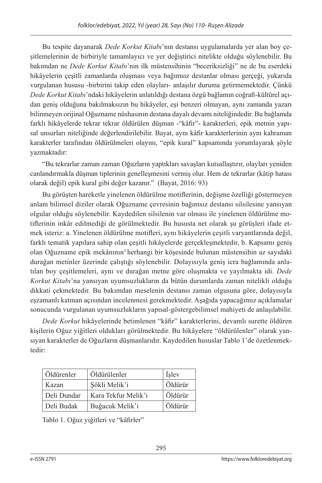Bu tespite dayanarak *Dede Korkut Kitabı*'nın destansı uygulamalarda yer alan boy çeşitlemelerinin de birbiriyle tamamlayıcı ve yer değiştirici nitelikte olduğu söylenebilir. Bu bakımdan ne *Dede Korkut Kitabı*'nın ilk müstensihinin "beceriksizliği" ne de bu eserdeki hikâyelerin çeşitli zamanlarda oluşması veya bağımsız destanlar olması gerçeği, yukarıda vurgulanan hususu -birbirini takip eden olayları- anlaşılır duruma getirmemektedir. Çünkü *Dede Korkut Kitabı*'ndaki hikâyelerin anlatıldığı destana özgü bağlamın coğrafi-kültürel açıdan geniş olduğuna bakılmaksızın bu hikâyeler, eşi benzeri olmayan, aynı zamanda yazarı bilinmeyen orijinal Oğuzname nüshasının destana dayalı devamı niteliğindedir. Bu bağlamda farklı hikâyelerde tekrar tekrar öldürülen düşman -"kâfir"- karakterleri, epik metnin yapısal unsurları niteliğinde değerlendirilebilir. Bayat, aynı kâfir karakterlerinin aynı kahraman karakterler tarafından öldürülmeleri olayını, "epik kural" kapsamında yorumlayarak şöyle yazmaktadır:

"Bu tekrarlar zaman zaman Oğuzların yaptıkları savaşları kutsallaştırır, olayları yeniden canlandırmakla düşman tiplerinin genelleşmesini vermiş olur. Hem de tekrarlar (kâtip hatası olarak değil) epik kural gibi değer kazanır." (Bayat, 2016: 93)

Bu görüşten hareketle yinelenen öldürülme motiflerinin, değişme özelliği göstermeyen anlam bilimsel diziler olarak Oğuzname çevresinin bağımsız destansı silsilesine yansıyan olgular olduğu söylenebilir. Kaydedilen silsilenin var olması ile yinelenen öldürülme motiflerinin inkâr edilmediği de görülmektedir. Bu hususta net olarak şu görüşleri ifade etmek isteriz: a. Yinelenen öldürülme motifleri, aynı hikâyelerin çeşitli varyantlarında değil, farklı tematik yapılara sahip olan çeşitli hikâyelerde gerçekleşmektedir, b. Kapsamı geniş olan Oğuzname epik mekânının3 herhangi bir köşesinde bulunan müstensihin az sayıdaki durağan metinler üzerinde çalıştığı söylenebilir. Dolayısıyla geniş icra bağlamında anlatılan boy çeşitlemeleri, aynı ve durağan metne göre oluşmakta ve yayılmakta idi. *Dede Korkut Kitabı*'na yansıyan uyumsuzlukların da bütün durumlarda zaman nitelikli olduğu dikkati çekmektedir. Bu bakımdan meselenin destansı zaman olgusuna göre, dolayısıyla eşzamanlı katman açısından incelenmesi gerekmektedir. Aşağıda yapacağımız açıklamalar sonucunda vurgulanan uyumsuzlukların yapısal-göstergebilimsel mahiyeti de anlaşılabilir.

*Dede Korkut* hikâyelerinde betimlenen "kâfir" karakterlerini, devamlı surette öldüren kişilerin Oğuz yiğitleri oldukları görülmektedir. Bu hikâyelere "öldürülenler" olarak yansıyan karakterler de Oğuzların düşmanlarıdır. Kaydedilen hususlar Tablo 1'de özetlenmektedir:

| Öldürenler  | Öldürülenler        | <i>i</i> slev |
|-------------|---------------------|---------------|
| Kazan       | Sökli Melik'i       | Öldürür       |
| Deli Dundar | Kara Tekfur Melik'i | Öldürür       |
| Deli Budak  | Buğacuk Melik'i     | Öldürür       |

Tablo 1. Oğuz yiğitleri ve "kâfirler"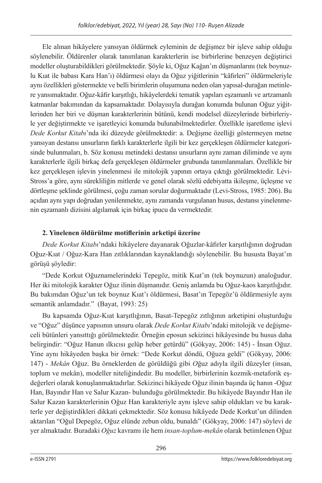Ele alınan hikâyelere yansıyan öldürmek eyleminin de değişmez bir işleve sahip olduğu söylenebilir. Öldürenler olarak tanımlanan karakterlerin ise birbirlerine benzeyen değiştirici modeller oluşturabildikleri görülmektedir. Şöyle ki, Oğuz Kağan'ın düşmanlarını (tek boynuzlu Kıat ile babası Kara Han'ı) öldürmesi olayı da Oğuz yiğitlerinin "kâfirleri" öldürmeleriyle aynı özellikleri göstermekte ve belli birimlerin oluşumuna neden olan yapısal-durağan metinlere yansımaktadır. Oğuz-kâfir karşıtlığı, hikâyelerdeki tematik yapıları eşzamanlı ve artzamanlı katmanlar bakımından da kapsamaktadır. Dolayısıyla durağan konumda bulunan Oğuz yiğitlerinden her biri ve düşman karakterlerinin bütünü, kendi modelsel düzeylerinde birbirleriyle yer değiştirmekte ve işaretleyici konumda bulunabilmektedirler. Özellikle işaretleme işlevi *Dede Korkut Kitabı*'nda iki düzeyde görülmektedir: a. Değişme özelliği göstermeyen metne yansıyan destansı unsurların farklı karakterlerle ilgili bir kez gerçekleşen öldürmeler kategorisinde bulunmaları, b. Söz konusu metindeki destansı unsurların aynı zaman diliminde ve aynı karakterlerle ilgili birkaç defa gerçekleşen öldürmeler grubunda tanımlanmaları. Özellikle bir kez gerçekleşen işlevin yinelenmesi ile mitolojik yapının ortaya çıktığı görülmektedir. Lévi-Stross'a göre, aynı sürekliliğin mitlerde ve genel olarak sözlü edebiyatta ikileşme, üçleşme ve dörtleşme şeklinde görülmesi, çoğu zaman sorular doğurmaktadır (Levi-Stross, 1985: 206). Bu açıdan aynı yapı doğrudan yenilenmekte, aynı zamanda vurgulanan husus, destansı yinelenmenin eşzamanlı dizisini algılamak için birkaç ipucu da vermektedir.

# **2. Yinelenen öldürülme motiflerinin arketipi üzerine**

*Dede Korkut Kitabı*'ndaki hikâyelere dayanarak Oğuzlar-kâfirler karşıtlığının doğrudan Oğuz-Kıat / Oğuz-Kara Han zıtlıklarından kaynaklandığı söylenebilir. Bu hususta Bayat'ın görüşü şöyledir:

"Dede Korkut Oğuznamelerindeki Tepegöz, mitik Kıat'ın (tek boynuzun) analoğudur. Her iki mitolojik karakter Oğuz ilinin düşmanıdır. Geniş anlamda bu Oğuz-kaos karşıtlığıdır. Bu bakımdan Oğuz'un tek boynuz Kıat'ı öldürmesi, Basat'ın Tepegöz'ü öldürmesiyle aynı semantik anlamdadır." (Bayat, 1993: 25)

Bu kapsamda Oğuz-Kıat karşıtlığının, Basat-Tepegöz zıtlığının arketipini oluşturduğu ve "Oğuz" düşünce yapısının unsuru olarak *Dede Korkut Kitabı*'ndaki mitolojik ve değişmeceli bütünleri yansıttığı görülmektedir. Örneğin eposun sekizinci hikâyesinde bu husus daha belirgindir: "Oğuz Hanun ılkıcısı gelüp heber getürdü" (Gökyay, 2006: 145) - İnsan Oğuz. Yine aynı hikâyeden başka bir örnek: "Dede Korkut döndü, Oğuza geldi" (Gökyay, 2006: 147) - *Mekân* Oğuz. Bu örneklerden de görüldüğü gibi *O*ğuz adıyla ilgili düzeyler (insan, toplum ve mekân), modeller niteliğindedir. Bu modeller, birbirlerinin kozmik-metaforik eşdeğerleri olarak konuşlanmaktadırlar. Sekizinci hikâyede Oğuz ilinin başında üç hanın -Oğuz Han, Bayındır Han ve Salur Kazan- bulunduğu görülmektedir. Bu hikâyede Bayındır Han ile Salur Kazan karakterlerinin Oğuz Han karakteriyle aynı işleve sahip oldukları ve bu karakterle yer değiştirdikleri dikkati çekmektedir. Söz konusu hikâyede Dede Korkut'un dilinden aktarılan "Oğul Depegöz, Oğuz elünde zebun oldu, bunaldı" (Gökyay, 2006: 147) söylevi de yer almaktadır. Buradaki *Oğuz* kavramı ile hem *insan-toplum-mekân* olarak betimlenen Oğuz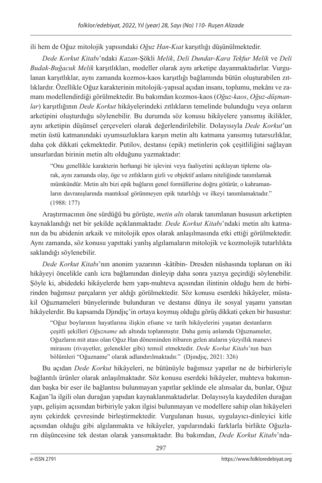ili hem de Oğuz mitolojik yapısındaki *Oğuz Han-Kıat* karşıtlığı düşünülmektedir.

*Dede Korkut Kitabı*'ndaki *Kazan-*Şökli *Melik*, *Deli Dundar-Kara Tekfur Melik* ve *Deli Budak-Buğacuk Melik* karşıtlıkları, modeller olarak aynı arketipe dayanmaktadırlar. Vurgulanan karşıtlıklar, aynı zamanda kozmos-kaos karşıtlığı bağlamında bütün oluşturabilen zıtlıklardır. Özellikle Oğuz karakterinin mitolojik-yapısal açıdan insanı, toplumu, mekânı ve zamanı modellendirdiği görülmektedir. Bu bakımdan kozmos-kaos (*Oğuz-kaos*, *Oğuz-düşmanlar*) karşıtlığının *Dede Korkut* hikâyelerindeki zıtlıkların temelinde bulunduğu veya onların arketipini oluşturduğu söylenebilir. Bu durumda söz konusu hikâyelere yansımış ikilikler, aynı arketipin düşünsel çerçeveleri olarak değerlendirilebilir. Dolayısıyla *Dede Korkut*'un metin üstü katmanındaki uyumsuzluklara karşın metin altı katmana yansımış tutarsızlıklar, daha çok dikkati çekmektedir. Putilov, destansı (epik) metinlerin çok çeşitliliğini sağlayan unsurlardan birinin metin altı olduğunu yazmaktadır:

"Onu genellikle karakterin herhangi bir işlevini veya faaliyetini açıklayan tipleme olarak, aynı zamanda olay, öge ve zıtlıkların gizli ve objektif anlamı niteliğinde tanımlamak mümkündür. Metin altı bizi epik bağların genel formüllerine doğru götürür, o kahramanların davranışlarında mantıksal görünmeyen epik tutarlılığı ve ilkeyi tanımlamaktadır." (1988: 177)

Araştırmacının öne sürdüğü bu görüşte, *metin altı* olarak tanımlanan hususun arketipten kaynaklandığı net bir şekilde açıklanmaktadır. *Dede Korkut Kitabı*'ndaki metin altı katmanın da bu abidenin arkaik ve mitolojik epos olarak anlaşılmasında etki ettiği görülmektedir. Aynı zamanda, söz konusu yapıttaki yanlış algılamaların mitolojik ve kozmolojik tutarlılıkta saklandığı söylenebilir.

*Dede Korkut Kitabı*'nın anonim yazarının -kâtibin- Dresden nüshasında toplanan on iki hikâyeyi öncelikle canlı icra bağlamından dinleyip daha sonra yazıya geçirdiği söylenebilir. Şöyle ki, abidedeki hikâyelerde hem yapı-muhteva açısından ilintinin olduğu hem de birbirinden bağımsız parçaların yer aldığı görülmektedir. Söz konusu eserdeki hikâyeler, müstakil Oğuznameleri bünyelerinde bulunduran ve destansı dünya ile sosyal yaşamı yansıtan hikâyelerdir. Bu kapsamda Djındjıç'in ortaya koymuş olduğu görüş dikkati çeken bir husustur:

"Oğuz boylarının hayatlarına ilişkin efsane ve tarih hikâyelerini yaşatan destanların çeşitli şekilleri *Oğuzname* adı altında toplanmıştır. Daha geniş anlamda Oğuznameler, Oğuzların mit atası olan Oğuz Han döneminden itibaren gelen ataların yüzyıllık manevi mirasını (rivayetler, gelenekler gibi) temsil etmektedir. *Dede Korkut Kitabı*'nın bazı bölümleri "Oğuzname" olarak adlandırılmaktadır." (Djındjıç, 2021: 326)

Bu açıdan *Dede Korkut* hikâyeleri, ne bütünüyle bağımsız yapıtlar ne de birbirleriyle bağlantılı ürünler olarak anlaşılmaktadır. Söz konusu eserdeki hikâyeler, muhteva bakımından başka bir eser ile bağlantısı bulunmayan yapıtlar şeklinde ele alınsalar da, bunlar, Oğuz Kağan'la ilgili olan durağan yapıdan kaynaklanmaktadırlar. Dolayısıyla kaydedilen durağan yapı, gelişim açısından birbiriyle yakın ilgisi bulunmayan ve modellere sahip olan hikâyeleri aynı çekirdek çevresinde birleştirmektedir. Vurgulanan husus, uygulayıcı-dinleyici kitle açısından olduğu gibi algılanmakta ve hikâyeler, yapılarındaki farklarla birlikte Oğuzların düşüncesine tek destan olarak yansımaktadır. Bu bakımdan, *Dede Korkut Kitabı*'nda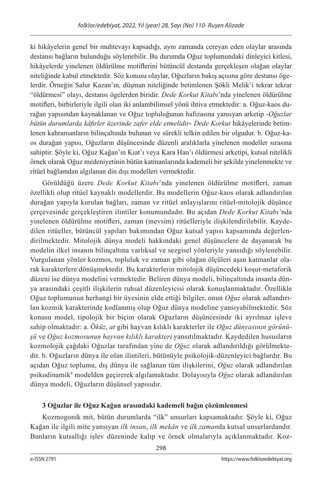ki hikâyelerin genel bir muhtevayı kapsadığı, aynı zamanda cereyan eden olaylar arasında destansı bağların bulunduğu söylenebilir. Bu durumda Oğuz toplumundaki dinleyici kitlesi, hikâyelerde yinelenen öldürülme motiflerini bütüncül destanda gerçekleşen olağan olaylar niteliğinde kabul etmektedir. Söz konusu olaylar, Oğuzların bakış açısına göre destansı ögelerdir. Örneğin Salur Kazan'ın*,* düşman niteliğinde betimlenen Şökli Melik'i tekrar tekrar "öldürmesi" olayı, destansı ögelerden biridir. *Dede Korkut Kitabı*'nda yinelenen öldürülme motifleri, birbirleriyle ilgili olan iki anlambilimsel yönü ihtiva etmektedir: a. Oğuz-kaos durağan yapısından kaynaklanan ve Oğuz topluluğunun hafızasına yansıyan arketip -*Oğuzlar bütün durumlarda kâfirler üzerinde zafer elde etmelidir*- *Dede Korkut* hikâyelerinde betimlenen kahramanların bilinçaltında bulunan ve sürekli telkin edilen bir olgudur. b. Oğuz-kaos durağan yapısı, Oğuzların düşüncesinde düzenli aralıklarla yinelenen modeller sırasına sahiptir. Şöyle ki, Oğuz Kağan'ın Kıat'ı veya Kara Han'ı öldürmesi arketipi, kutsal nitelikli örnek olarak Oğuz medeniyetinin bütün katmanlarında kademeli bir şekilde yinelenmekte ve ritüel bağlamdan algılanan din dışı modelleri vermektedir.

Görüldüğü üzere *Dede Korkut Kitabı*'nda yinelenen öldürülme motifleri, zaman özellikli olup ritüel kaynaklı modellerdir. Bu modellerin Oğuz-kaos olarak adlandırılan durağan yapıyla kurulan bağları, zaman ve ritüel anlayışlarını ritüel-mitolojik düşünce çerçevesinde gerçekleştiren ilintiler konumundadır. Bu açıdan *Dede Korkut Kitabı'*nda yinelenen öldürülme motifleri, zaman (mevsim) ritüelleriyle ilişkilendirilebilir. Kaydedilen ritüeller, bütüncül yapıları bakımından Oğuz kutsal yapısı kapsamında değerlendirilmektedir. Mitolojik dünya modeli hakkındaki genel düşüncelere de dayanarak bu modelin ilkel insanın bilinçaltına varlıksal ve sezgisel yönleriyle yansıdığı söylenebilir. Vurgulanan yönler kozmos, topluluk ve zaman gibi olağan ölçüleri aşan katmanlar olarak karakterlere dönüşmektedir. Bu karakterlerin mitolojik düşüncedeki koşut-metaforik düzeni ise dünya modelini vermektedir. Beliren dünya modeli, bilinçaltında insanla dünya arasındaki çeşitli ilişkilerin ruhsal düzenleyicisi olarak konuşlanmaktadır. Özellikle Oğuz toplumunun herhangi bir üyesinin elde ettiği bilgiler, onun *Oğuz* olarak adlandırılan kozmik karakterinde kodlanmış olup Oğuz dünya modeline yansıyabilmektedir. Söz konusu model, tipolojik bir biçim olarak Oğuzların düşüncesinde iki ayrılmaz işleve sahip olmaktadır: a. Ö*küz*, *at* gibi hayvan kılıklı karakterler ile *Oğuz dünyasının görünüşü* ve *Oğuz kozmosunun hayvan kılıklı karakteri* yansıtılmaktadır. Kaydedilen hususların kozmolojik çağdaki Oğuzlar tarafından yine de *Oğuz* olarak adlandırıldığı görülmektedir. b. Oğuzların dünya ile olan ilintileri, bütünüyle psikolojik-düzenleyici bağlardır. Bu açıdan Oğuz toplumu, dış dünya ile sağlanan tüm ilişkilerini, *Oğuz* olarak adlandırılan psikodinamik4 modelden geçirerek algılamaktadır. Dolayısıyla *Oğuz* olarak adlandırılan dünya modeli, Oğuzların düşünsel yapısıdır.

# **3 Oğuzlar ile Oğuz Kağan arasındaki kademeli bağın çözümlenmesi**

Kozmogonik mit, bütün durumlarda "ilk" unsurları kapsamaktadır. Şöyle ki, Oğuz Kağan ile ilgili mite yansıyan *ilk insan*, *ilk mekân* ve *ilk zaman*da kutsal unsurlardandır. Bunların kutsallığı işlev düzeninde kalıp ve örnek olmalarıyla açıklanmaktadır. Koz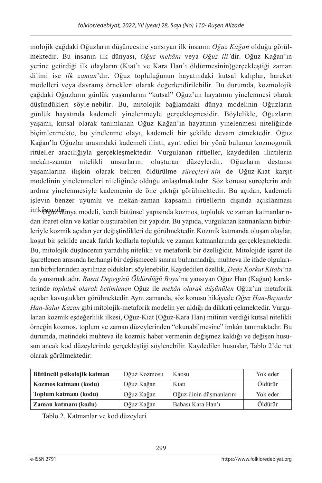molojik çağdaki Oğuzların düşüncesine yansıyan ilk insanın *Oğuz Kağan* olduğu görülmektedir. Bu insanın ilk dünyası, *Oğuz mekânı* veya *Oğuz ili'*dir. Oğuz Kağan'ın yerine getirdiği ilk olayların (Kıat'ı ve Kara Han'ı öldürmesinin)gerçekleştiği zaman dilimi ise *ilk zaman*'dır. Oğuz topluluğunun hayatındaki kutsal kalıplar, hareket modelleri veya davranış örnekleri olarak değerlendirilebilir. Bu durumda, kozmolojik çağdaki Oğuzların günlük yaşamlarını "kutsal" Oğuz'un hayatının yinelenmesi olarak düşündükleri söyle-nebilir. Bu, mitolojik bağlamdaki dünya modelinin Oğuzların günlük hayatında kademeli yinelenmeyle gerçekleşmesidir. Böylelikle, Oğuzların yaşamı, kutsal olarak tanımlanan Oğuz Kağan'ın hayatının yinelenmesi niteliğinde biçimlenmekte, bu yinelenme olayı, kademeli bir şekilde devam etmektedir. Oğuz Kağan'la Oğuzlar arasındaki kademeli ilinti, ayırt edici bir yönü bulunan kozmogonik ritüeller aracılığıyla gerçekleşmektedir. Vurgulanan ritüeller, kaydedilen ilintilerin mekân-zaman nitelikli unsurlarını oluşturan düzeylerdir. Oğuzların destansı yaşamlarına ilişkin olarak beliren öldürülme *süreçleri-nin* de Oğuz-Kıat karşıt modelinin yinelenmeleri niteliğinde olduğu anlaşılmaktadır. Söz konusu süreçlerin ardı ardına yinelenmesiyle kademenin de öne çıktığı görülmektedir. Bu açıdan, kademeli işlevin benzer uyumlu ve mekân-zaman kapsamlı ritüellerin dışında açıklanması imkânsuzdutinya modeli, kendi bütünsel yapısında kozmos, topluluk ve zaman katmanlarından ibaret olan ve katlar oluşturabilen bir yapıdır. Bu yapıda, vurgulanan katmanların birbirleriyle kozmik açıdan yer değiştirdikleri de görülmektedir. Kozmik katmanda oluşan olaylar, koşut bir şekilde ancak farklı kodlarla topluluk ve zaman katmanlarında gerçekleşmektedir. Bu, mitolojik düşüncenin yaradılış nitelikli ve metaforik bir özelliğidir. Mitolojide işaret ile işaretlenen arasında herhangi bir değişmeceli sınırın bulunmadığı, muhteva ile ifade olgularının birbirlerinden ayrılmaz oldukları söylenebilir. Kaydedilen özellik, *Dede Korkut Kitabı*'na da yansımaktadır. *Basat Depegözü Öldürdüğü Boyu*'na yansıyan Oğuz Han (Kağan) karakterinde *topluluk olarak betimlenen* Oğuz ile *mekân olarak düşünülen* Oğuz'un metaforik açıdan kavuştukları görülmektedir. Aynı zamanda, söz konusu hikâyede *Oğuz Han-Bayındır Han-Salur Kazan* gibi mitolojik-metaforik modelin yer aldığı da dikkati çekmektedir. Vurgulanan kozmik eşdeğerlilik ilkesi, Oğuz-Kıat (Oğuz-Kara Han) mitinin verdiği kutsal nitelikli örneğin kozmos, toplum ve zaman düzeylerinden "okunabilmesine" imkân tanımaktadır. Bu durumda, metindeki muhteva ile kozmik haber vermenin değişmez kaldığı ve değişen hususun ancak kod düzeylerinde gerçekleştiği söylenebilir. Kaydedilen hususlar, Tablo 2'de net olarak görülmektedir:

| Bütüncül psikolojik katman | Oğuz Kozmosu | Kaosu                    | Yok eder |
|----------------------------|--------------|--------------------------|----------|
| Kozmos katmanı (kodu)      | Oğuz Kağan   | Kiati                    | Öldürür  |
| Toplum katmanı (kodu)      | Oğuz Kağan   | Oğuz ilinin düsmanlarını | Yok eder |
| Zaman katmanı (kodu)       | Oğuz Kağan   | Babasi Kara Han'i        | Öldürür  |

Tablo 2. Katmanlar ve kod düzeyleri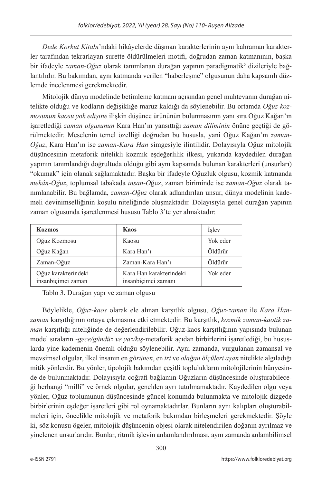*Dede Korkut Kitabı*'ndaki hikâyelerde düşman karakterlerinin aynı kahraman karakterler tarafından tekrarlayan surette öldürülmeleri motifi, doğrudan zaman katmanının, başka bir ifadeyle *zaman-Oğuz* olarak tanımlanan durağan yapının paradigmatik<sup>5</sup> dizileriyle bağlantılıdır. Bu bakımdan, aynı katmanda verilen "haberleşme" olgusunun daha kapsamlı düzlemde incelenmesi gerekmektedir.

Mitolojik dünya modelinde betimleme katmanı açısından genel muhtevanın durağan nitelikte olduğu ve kodların değişikliğe maruz kaldığı da söylenebilir. Bu ortamda *Oğuz kozmosunun kaosu yok edişine* ilişkin düşünce ürününün bulunmasının yanı sıra Oğuz Kağan'ın işaretlediği *zaman olgusunun* Kara Han'ın yansıttığı *zaman diliminin* önüne geçtiği de görülmektedir. Meselenin temel özelliği doğrudan bu hususla, yani Oğuz Kağan'ın *zaman-Oğuz*, Kara Han'ın ise *zaman-Kara Han* simgesiyle ilintilidir. Dolayısıyla Oğuz mitolojik düşüncesinin metaforik nitelikli kozmik eşdeğerlilik ilkesi, yukarıda kaydedilen durağan yapının tanımlandığı doğrultuda olduğu gibi aynı kapsamda bulunan karakterleri (unsurları) "okumak" için olanak sağlamaktadır. Başka bir ifadeyle Oğuzluk olgusu, kozmik katmanda *mekân-Oğuz*, toplumsal tabakada *insan-O*ğuz, zaman biriminde ise *zaman-Oğuz* olarak tanımlanabilir. Bu bağlamda, *zaman-Oğuz* olarak adlandırılan unsur, dünya modelinin kademeli devinimselliğinin koşulu niteliğinde oluşmaktadır. Dolayısıyla genel durağan yapının zaman olgusunda işaretlenmesi hususu Tablo 3'te yer almaktadır:

| <b>Kozmos</b>                             | <b>Kaos</b>                                    | Islev    |
|-------------------------------------------|------------------------------------------------|----------|
| Oğuz Kozmosu                              | Kaosu                                          | Yok eder |
| Oğuz Kağan                                | Kara Han'ı                                     | Öldürür  |
| Zaman-Oğuz                                | Zaman-Kara Han'ı                               | Öldürür  |
| Oğuz karakterindeki<br>insanbiçimci zaman | Kara Han karakterindeki<br>insanbiçimci zamanı | Yok eder |

Tablo 3. Durağan yapı ve zaman olgusu

Böylelikle, *Oğuz-kaos* olarak ele alınan karşıtlık olgusu, *Oğuz-zaman* ile *Kara Hanzaman* karşıtlığının ortaya çıkmasına etki etmektedir. Bu karşıtlık, *kozmik zaman-kaotik zaman* karşıtlığı niteliğinde de değerlendirilebilir. Oğuz-kaos karşıtlığının yapısında bulunan model sıraların -*gece/gündüz ve yaz/kış*-metaforik açıdan birbirlerini işaretlediği, bu hususlarda yine kademenin önemli olduğu söylenebilir. Aynı zamanda, vurgulanan zamansal ve mevsimsel olgular, ilkel insanın en *görünen*, en *iri* ve *olağan ölçüleri aşan* nitelikte algıladığı mitik yönlerdir. Bu yönler, tipolojik bakımdan çeşitli toplulukların mitolojilerinin bünyesinde de bulunmaktadır. Dolayısıyla coğrafi bağlamın Oğuzların düşüncesinde oluşturabileceği herhangi "milli" ve örnek olgular, genelden ayrı tutulmamaktadır. Kaydedilen olgu veya yönler, Oğuz toplumunun düşüncesinde güncel konumda bulunmakta ve mitolojik dizgede birbirlerinin eşdeğer işaretleri gibi rol oynamaktadırlar. Bunların aynı kalıpları oluşturabilmeleri için, öncelikle mitolojik ve metaforik bakımdan birleşmeleri gerekmektedir. Şöyle ki, söz konusu ögeler, mitolojik düşüncenin objesi olarak nitelendirilen doğanın ayrılmaz ve yinelenen unsurlarıdır. Bunlar, ritmik işlevin anlamlandırılması, aynı zamanda anlambilimsel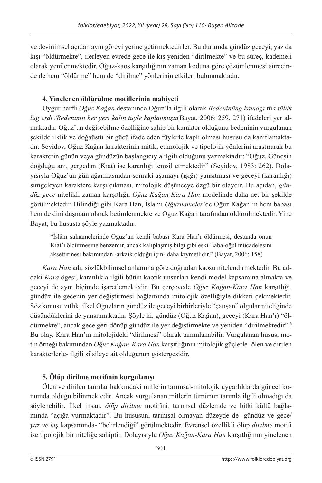ve devinimsel açıdan aynı görevi yerine getirmektedirler. Bu durumda gündüz geceyi, yaz da kışı "öldürmekte", ilerleyen evrede gece ile kış yeniden "dirilmekte" ve bu süreç, kademeli olarak yenilenmektedir. Oğuz-kaos karşıtlığının zaman koduna göre çözümlenmesi sürecinde de hem "öldürme" hem de "dirilme" yönlerinin etkileri bulunmaktadır.

# **4. Yinelenen öldürülme motiflerinin mahiyeti**

Uygur harfli *Oğuz Kağan* destanında Oğuz'la ilgili olarak *Bedeninüng kamagı* tük *tülük lüg erdi /Bedeninin her yeri kalın tüyle kaplanmıştı*(Bayat, 2006: 259, 271) ifadeleri yer almaktadır. Oğuz'un değişebilme özelliğine sahip bir karakter olduğunu bedeninin vurgulanan şekilde ilklik ve doğaüstü bir gücü ifade eden tüylerle kaplı olması hususu da kanıtlamaktadır. Seyidov, Oğuz Kağan karakterinin mitik, etimolojik ve tipolojik yönlerini araştırarak bu karakterin günün veya gündüzün başlangıcıyla ilgili olduğunu yazmaktadır: "Oğuz, Güneşin doğduğu anı, gergedan (Kıat) ise karanlığı temsil etmektedir" (Seyidov, 1983: 262). Dolayısıyla Oğuz'un gün ağarmasından sonraki aşamayı (ışığı) yansıtması ve geceyi (karanlığı) simgeleyen karaktere karşı çıkması, mitolojik düşünceye özgü bir olaydır. Bu açıdan, *gündüz-gece* nitelikli zaman karşıtlığı, *Oğuz Kağan-Kara Han* modelinde daha net bir şekilde görülmektedir. Bilindiği gibi Kara Han, İslami *Oğuznameler*'de Oğuz Kağan'ın hem babası hem de dini düşmanı olarak betimlenmekte ve Oğuz Kağan tarafından öldürülmektedir. Yine Bayat, bu hususta şöyle yazmaktadır:

"İslâm salnamelerinde Oğuz'un kendi babası Kara Han'ı öldürmesi, destanda onun Kıat'ı öldürmesine benzerdir, ancak kalıplaşmış bilgi gibi eski Baba-oğul mücadelesini aksettirmesi bakımından -arkaik olduğu için- daha kıymetlidir." (Bayat, 2006: 158)

*Kara Han* adı, sözlükbilimsel anlamına göre doğrudan kaosu nitelendirmektedir. Bu addaki *Kara* ögesi, karanlıkla ilgili bütün kaotik unsurları kendi model kapsamına almakta ve geceyi de aynı biçimde işaretlemektedir. Bu çerçevede *Oğuz Kağan-Kara Han* karşıtlığı, gündüz ile gecenin yer değiştirmesi bağlamında mitolojik özelliğiyle dikkati çekmektedir. Söz konusu zıtlık, ilkel Oğuzların gündüz ile geceyi birbirleriyle "çatışan" olgular niteliğinde düşündüklerini de yansıtmaktadır. Şöyle ki, gündüz (Oğuz Kağan), geceyi (Kara Han'ı) "öldürmekte", ancak gece geri dönüp gündüz ile yer değiştirmekte ve yeniden "dirilmektedir".6 Bu olay, Kara Han'ın mitolojideki "dirilmesi" olarak tanımlanabilir. Vurgulanan husus, metin örneği bakımından *Oğuz Kağan-Kara Han* karşıtlığının mitolojik güçlerle -ölen ve dirilen karakterlerle- ilgili silsileye ait olduğunun göstergesidir.

# **5. Ölüp dirilme motifinin kurgulanışı**

Ölen ve dirilen tanrılar hakkındaki mitlerin tarımsal-mitolojik uygarlıklarda güncel konumda olduğu bilinmektedir. Ancak vurgulanan mitlerin tümünün tarımla ilgili olmadığı da söylenebilir. İlkel insan, *ölüp dirilme* motifini*,* tarımsal düzlemde ve bitki kültü bağlamında "açığa vurmaktadır". Bu hususun, tarımsal olmayan düzeyde de -gündüz ve gece/ *yaz ve kış* kapsamında- "belirlendiği" görülmektedir. Evrensel özellikli ölüp *dirilme* motifi ise tipolojik bir niteliğe sahiptir. Dolayısıyla *Oğuz Kağan-Kara Han* karşıtlığının yinelenen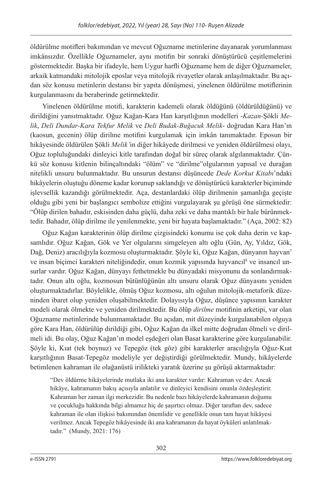öldürülme motifleri bakımından ve mevcut Oğuzname metinlerine dayanarak yorumlanması imkânsızdır. Özellikle Oğuznameler, aynı motifin bir sonraki dönüştürücü çeşitlemelerini göstermektedir. Başka bir ifadeyle, hem Uygur harfli Oğuzname hem de diğer Oğuznameler, arkaik katmandaki mitolojik eposlar veya mitolojik rivayetler olarak anlaşılmaktadır. Bu açıdan söz konusu metinlerin destansı bir yapıta dönüşmesi, yinelenen öldürülme motiflerinin kurgulanmasını da beraberinde getirmektedir.

Yinelenen öldürülme motifi, karakterin kademeli olarak öldüğünü (öldürüldüğünü) ve dirildiğini yansıtmaktadır. Oğuz Kağan-Kara Han karşıtlığının modelleri -*Kazan-*Şökli *Melik*, *Deli Dundar-Kara Tekfur Melik* ve *Deli Budak-Buğacuk Melik*- doğrudan Kara Han'ın (kaosun, gecenin) ölüp dirilme motifini kurgulamak için imkân tanımaktadır. Eposun bir hikâyesinde öldürülen Şökli *Melik'*in diğer hikâyede dirilmesi ve yeniden öldürülmesi olayı, Oğuz topluluğundaki dinleyici kitle tarafından doğal bir süreç olarak algılanmaktadır. Çünkü söz konusu kitlenin bilinçaltındaki "ölüm" ve "dirilme"olgularının yapısal ve durağan nitelikli unsuru bulunmaktadır. Bu unsurun destansı düşüncede *Dede Korkut Kitabı*'ndaki hikâyelerin oluştuğu döneme kadar korunup saklandığı ve dönüştürücü karakterler biçiminde işlevsellik kazandığı görülmektedir. Aça, destanlardaki ölüp dirilmenin şamanlığa geçişte olduğu gibi yeni bir başlangıcı sembolize ettiğini vurgulayarak şu görüşü öne sürmektedir: "Ölüp dirilen bahadır, eskisinden daha güçlü, daha zeki ve daha mantıklı bir hale bürünmektedir. Bahadır, ölüp dirilme ile yenilenmekte, yeni bir hayata başlamaktadır." (Aça, 2002: 82)

Oğuz Kağan karakterinin ölüp dirilme çizgisindeki konumu ise çok daha derin ve kapsamlıdır. Oğuz Kağan, Gök ve Yer olgularını simgeleyen altı oğlu (Gün, Ay, Yıldız, Gök, Dağ, Deniz) aracılığıyla kozmosu oluşturmaktadır. Şöyle ki, Oğuz Kağan, dünyanın hayvan7 ve insan biçimci karakteri niteliğindedir, onun kozmik yapısında hayvancıl<sup>8</sup> ve insancıl unsurlar vardır. Oğuz Kağan, dünyayı fethetmekle bu dünyadaki misyonunu da sonlandırmaktadır. Onun altı oğlu, kozmosun bütünlüğünün altı unsuru olarak Oğuz dünyasını yeniden oluşturmaktadırlar. Böylelikle, ölmüş Oğuz kozmosu, altı oğulun mitolojik-metaforik düzeninden ibaret olup yeniden oluşabilmektedir. Dolayısıyla Oğuz, düşünce yapısının karakter modeli olarak ölmekte ve yeniden dirilmektedir. Bu ölüp *dirilme* motifinin arketipi, var olan Oğuzname metinlerinde bulunmamaktadır. Bu açıdan, mit düzeyinde kurgulanabilen olguya göre Kara Han, öldürülüp dirildiği gibi, Oğuz Kağan da ilkel mitte doğrudan ölmeli ve dirilmeli idi. Bu olay, Oğuz Kağan'ın model eşdeğeri olan Basat karakterine göre kurgulanabilir. Şöyle ki, Kıat (tek boynuz) ve Tepegöz (tek göz) gibi karakterler aracılığıyla Oğuz-Kıat karşıtlığının Basat-Tepegöz modeliyle yer değiştirdiği görülmektedir. Mundy, hikâyelerde betimlenen kahraman ile olağanüstü irilikteki yaratık üzerine şu görüşü aktarmaktadır:

"Dev öldürme hikâyelerinde mutlaka iki ana karakter vardır: Kahraman ve dev. Ancak hikâye, kahramanın bakış açısıyla anlatılır ve dinleyici kendisini onunla özdeşleştirir. Kahraman her zaman ilgi merkezidir. Bu nedenle bazı hikâyelerde kahramanın doğumu ve çocukluğu hakkında bilgi almamız hiç de şaşırtıcı olmaz. Diğer taraftan dev, sadece kahraman ile olan ilişkisi bakımından önemlidir ve genellikle onun tam hayat hikâyesi verilmez. Ancak Tepegöz hikâyesinde iki ana kahramanın da hayat öyküleri anlatılmaktadır." (Mundy, 2021: 176)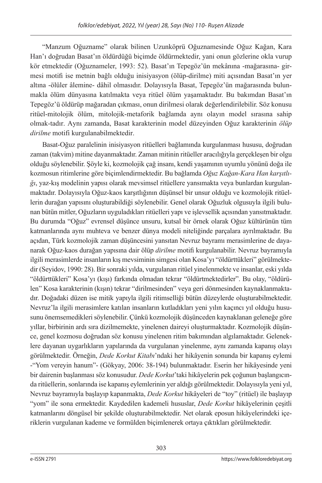"Manzum Oğuzname" olarak bilinen Uzunköprü Oğuznamesinde Oğuz Kağan, Kara Han'ı doğrudan Basat'ın öldürdüğü biçimde öldürmektedir, yani onun gözlerine okla vurup kör etmektedir (Oğuznameler, 1993: 52). Basat'ın Tepegöz'ün mekânına -mağarasına- girmesi motifi ise metnin bağlı olduğu inisiyasyon (ölüp-dirilme) miti açısından Basat'ın yer altına -ölüler âlemine- dâhil olmasıdır. Dolayısıyla Basat, Tepegöz'ün mağarasında bulunmakla ölüm dünyasına katılmakta veya ritüel ölüm yaşamaktadır. Bu bakımdan Basat'ın Tepegöz'ü öldürüp mağaradan çıkması, onun dirilmesi olarak değerlendirilebilir. Söz konusu ritüel-mitolojik ölüm, mitolojik-metaforik bağlamda aynı olayın model sırasına sahip olmak-tadır. Aynı zamanda, Basat karakterinin model düzeyinden Oğuz karakterinin *ölüp dirilme* motifi kurgulanabilmektedir.

Basat-Oğuz paralelinin inisiyasyon ritüelleri bağlamında kurgulanması hususu, doğrudan zaman (takvim) mitine dayanmaktadır. Zaman mitinin ritüeller aracılığıyla gerçekleşen bir olgu olduğu söylenebilir. Şöyle ki, kozmolojik çağ insanı, kendi yaşamının uyumlu yönünü doğa ile kozmosun ritimlerine göre biçimlendirmektedir. Bu bağlamda *Oğuz Kağan-Kara Han karşıtlığı*, yaz-kış modelinin yapısı olarak mevsimsel ritüellere yansımakta veya bunlardan kurgulanmaktadır. Dolayısıyla Oğuz-kaos karşıtlığının düşünsel bir unsur olduğu ve kozmolojik ritüellerin durağan yapısını oluşturabildiği söylenebilir. Genel olarak Oğuzluk olgusuyla ilgili bulunan bütün mitler, Oğuzların uyguladıkları ritüelleri yapı ve işlevsellik açısından yansıtmaktadır. Bu durumda "Oğuz" evrensel düşünce unsuru, kutsal bir örnek olarak Oğuz kültürünün tüm katmanlarında aynı muhteva ve benzer dünya modeli niteliğinde parçalara ayrılmaktadır. Bu açıdan, Türk kozmolojik zaman düşüncesini yansıtan Nevruz bayramı merasimlerine de dayanarak Oğuz-kaos durağan yapısına dair ölüp *dirilme* motifi kurgulanabilir. Nevruz bayramıyla ilgili merasimlerde insanların kış mevsiminin simgesi olan Kosa'yı "öldürttükleri" görülmektedir (Seyidov, 1990: 28). Bir sonraki yılda, vurgulanan ritüel yinelenmekte ve insanlar, eski yılda "öldürttükleri" Kosa'yı (kışı) farkında olmadan tekrar "öldürtmektedirler". Bu olay, "öldürülen" Kosa karakterinin (kışın) tekrar "dirilmesinden" veya geri dönmesinden kaynaklanmaktadır. Doğadaki düzen ise mitik yapıyla ilgili ritimselliği bütün düzeylerde oluşturabilmektedir. Nevruz'la ilgili merasimlere katılan insanların kutladıkları yeni yılın kaçıncı yıl olduğu hususunu önemsemedikleri söylenebilir. Çünkü kozmolojik düşünceden kaynaklanan geleneğe göre yıllar, birbirinin ardı sıra dizilmemekte, yinelenen daireyi oluşturmaktadır. Kozmolojik düşünce, genel kozmosu doğrudan söz konusu yinelenen ritim bakımından algılamaktadır. Geleneklere dayanan uygarlıkların yapılarında da vurgulanan yinelenme, aynı zamanda kapanış olayı görülmektedir. Örneğin, *Dede Korkut Kitabı*'ndaki her hikâyenin sonunda bir kapanış eylemi -"Yom vereyin hanum"- (Gökyay, 2006: 38-194) bulunmaktadır. Eserin her hikâyesinde yeni bir dairenin başlanması söz konusudur. *Dede Korkut*'taki hikâyelerin pek çoğunun başlangıcında ritüellerin, sonlarında ise kapanış eylemlerinin yer aldığı görülmektedir. Dolayısıyla yeni yıl, Nevruz bayramıyla başlayıp kapanmakta, *Dede Korkut* hikâyeleri de "toy" (ritüel) ile başlayıp "yom" ile sona ermektedir. Kaydedilen kademeli hususlar, *Dede Korkut* hikâyelerinin çeşitli katmanlarını döngüsel bir şekilde oluşturabilmektedir. Net olarak eposun hikâyelerindeki içeriklerin vurgulanan kademe ve formülden biçimlenerek ortaya çıktıkları görülmektedir.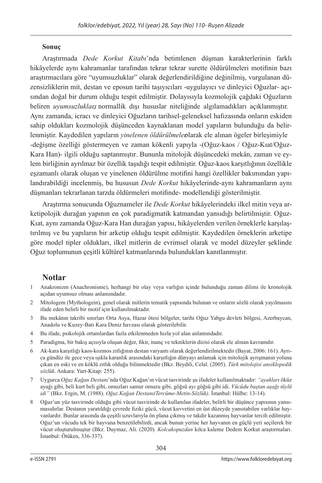### **Sonuç**

Araştırmada *Dede Korkut Kitabı*'nda betimlenen düşman karakterlerinin farklı hikâyelerde aynı kahramanlar tarafından tekrar tekrar surette öldürülmeleri motifinin bazı araştırmacılara göre "uyumsuzluklar" olarak değerlendirildiğine değinilmiş, vurgulanan düzensizliklerin mit, destan ve eposun tarihi taşıyıcıları -uygulayıcı ve dinleyici Oğuzlar- açısından doğal bir durum olduğu tespit edilmiştir. Dolayısıyla kozmolojik çağdaki Oğuzların beliren *uyumsuzlukları*, normallik dışı hususlar niteliğinde algılamadıkları açıklanmıştır. Aynı zamanda, icracı ve dinleyici Oğuzların tarihsel-geleneksel hafızasında onların eskiden sahip oldukları kozmolojik düşünceden kaynaklanan model yapıların bulunduğu da belirlenmiştir. Kaydedilen yapıların *yinelenen öldürülmeler* blarak ele alınan ögeler birleşimiyle -değişme özelliği göstermeyen ve zaman kökenli yapıyla -(Oğuz-kaos / Oğuz-Kıat/Oğuz-Kara Han)- ilgili olduğu saptanmıştır. Bununla mitolojik düşüncedeki mekân, zaman ve eylem birliğinin ayrılmaz bir özellik taşıdığı tespit edilmiştir. Oğuz-kaos karşıtlığının özellikle eşzamanlı olarak oluşan ve yinelenen öldürülme motifini hangi özellikler bakımından yapılandırabildiği incelenmiş, bu hususun *Dede Korkut* hikâyelerinde-aynı kahramanların aynı düşmanları tekrarlanan tarzda öldürmeleri motifinde- modellendiği gösterilmiştir.

Araştırma sonucunda Oğuznameler ile *Dede Korkut* hikâyelerindeki ilkel mitin veya arketipolojik durağan yapının en çok paradigmatik katmandan yansıdığı belirtilmiştir. Oğuz-Kıat, aynı zamanda Oğuz-Kara Han durağan yapısı, hikâyelerden verilen örneklerle karşılaştırılmış ve bu yapıların bir arketip olduğu tespit edilmiştir. Kaydedilen örneklerin arketipe göre model tipler oldukları, ilkel mitlerin de evrimsel olarak ve model düzeyler şeklinde Oğuz toplumunun çeşitli kültürel katmanlarında bulundukları kanıtlanmıştır.

# **Notlar**

- 1 Anakronizm (Anachronisme), herhangi bir olay veya varlığın içinde bulunduğu zaman dilimi ile kronolojik açıdan uyumsuz olması anlamındadır.
- 2 Mitologem (Mythologein), genel olarak mitlerin tematik yapısında bulunan ve onların sözlü olarak yayılmasını ifade eden belirli bir motif için kullanılmaktadır.
- 3 Bu mekânın takribi sınırları Orta Asya, Hazar ötesi bölgeler, tarihi Oğuz Yabgu devleti bölgesi, Azerbaycan, Anadolu ve Kuzey-Batı Kara Deniz havzası olarak gösterilebilir.
- 4 Bu ifade, psikolojik ortamlardan fazla etkilenmeden hızla yol alan anlamındadır.
- 5 Paradigma, bir bakış açısıyla oluşan değer, fikir, inanç ve tekniklerin dizisi olarak ele alınan kavramdır.
- 6 Ak-kara karşıtlığı kaos-kozmos zıtlığının destan varyantı olarak değerlendirilmektedir (Bayat, 2006: 161). Ayrıca gündüz ile gece veya ışıkla karanlık arasındaki karşıtlığın dünyayı anlamak için mitolojik ayrışmanın yoluna çıkan en eski ve en köklü zıtlık olduğu bilinmektedir (Bkz. Beydili, Celal. (2005). *Türk mitolojisi ansiklopedik sözlük*. Ankara: Yurt-Kitap: 255).
- 7 Uygurca *Oğuz Kağan Destanı*'nda Oğuz Kağan'ın vücut tasvirinde şu ifadeler kullanılmaktadır: *"ayakları* öküz ayağı gibi, beli kurt beli gibi, omuzları samur omuzu gibi, göğsü ayı göğsü gibi idi. *Vücûdu baştan aşağı tüylü idi"* (Bkz. Ergin, M. (1988). *Oğuz Kağan Destanı(Tercüme-Metin-Sözlük)*. İstanbul: Hülbe: 13-14).
- 8 Oğuz'un yüz tasvirinde olduğu gibi vücut tasvirinde de kullanılan ifadeler, belirli bir düşünce yapısının yansımasıdırlar. Destanın yaratıldığı çevrede fiziki gücü, vücut kuvvetini en üst düzeyde yansıtabilen varlıklar hayvanlardır. Bunlar arasında da çeşitli uzuvlarıyla ön plana çıkmış ve takdir kazanmış hayvanlar tercih edilmiştir. Oğuz'un vücudu tek bir hayvana benzetilebilirdi, ancak bunun yerine her hayvanın en güçlü yeri seçilerek bir vücut oluşturulmuştur (Bkz. Duymaz, Ali. (2020). *Kolcakopuzdan* kılca kaleme Dedem Korkut araştırmaları. İstanbul: Ötüken, 336-337).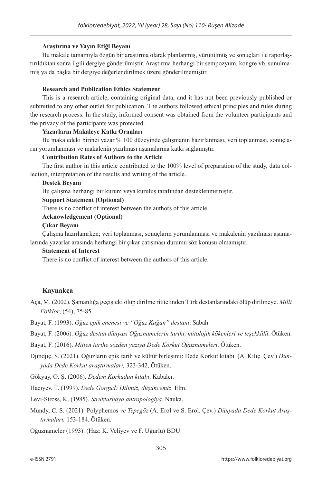### **Araştırma ve Yayın Etiği Beyanı**

Bu makale tamamıyla özgün bir araştırma olarak planlanmış, yürütülmüş ve sonuçları ile raporlaştırıldıktan sonra ilgili dergiye gönderilmiştir. Araştırma herhangi bir sempozyum, kongre vb. sunulmamış ya da başka bir dergiye değerlendirilmek üzere gönderilmemiştir.

### **Research and Publication Ethics Statement**

This is a research article, containing original data, and it has not been previously published or submitted to any other outlet for publication. The authors followed ethical principles and rules during the research process. In the study, informed consent was obtained from the volunteer participants and the privacy of the participants was protected.

### **Yazarların Makaleye Katkı Oranları**

Bu makaledeki birinci yazar % 100 düzeyinde çalışmanın hazırlanması, veri toplanması, sonuçların yorumlanması ve makalenin yazılması aşamalarına katkı sağlamıştır.

### **Contribution Rates of Authors to the Article**

The first author in this article contributed to the 100% level of preparation of the study, data collection, interpretation of the results and writing of the article.

### **Destek Beyanı**

Bu çalışma herhangi bir kurum veya kuruluş tarafından desteklenmemiştir.

### **Support Statement (Optional)**

There is no conflict of interest between the authors of this article.

### **Acknowledgement (Optional)**

### **Çıkar Beyanı**

Çalışma hazırlanırken; veri toplanması, sonuçların yorumlanması ve makalenin yazılması aşamalarında yazarlar arasında herhangi bir çıkar çatışması durumu söz konusu olmamıştır.

#### **Statement of Interest**

There is no conflict of interest between the authors of this article.

### **Kaynakça**

Aça, M. (2002). Şamanlığa geçişteki ölüp dirilme ritüelinden Türk destanlarındaki ölüp dirilmeye. *Milli Folklor*, (54), 75-85.

Bayat, F. (1993). *Oğuz epik enenesi ve "Oğuz Kağan" destanı*. Sabah.

Bayat, F. (2006). *Oğuz destan dünyası Oğuznamelerin tarihi, mitolojik kökenleri ve teşekkülü*. Ötüken.

Bayat, F. (2016). *Mitten tarihe sözden yazıya Dede Korkut Oğuznameleri*. Ötüken.

Djındjıç, S. (2021). Oğuzların epik tarih ve kültür birleşimi: Dede Korkut kitabı (A. Kılıç. Çev.) *Dünyada Dede Korkut araştırmaları,* 323-342, Ötüken.

Gökyay, O. Ş. (2006). *Dedem Korkudun kitabı*. Kabalcı.

Hacıyev, T. (1999). *Dede Gorgud: Dilimiz, düşüncemiz*. Elm.

Levi-Stross, K. (1985). *Strukturnaya antropologiya.* Nauka.

Mundy, C. S. (2021). Polyphemos *ve Tepegöz* (A. Erol ve S. Erol. Çev.) *Dünyada Dede Korkut Araştırmaları,* 153-184. Ötüken.

Oğuznameler (1993). (Haz: K. Veliyev ve F. Uğurlu) BDU.